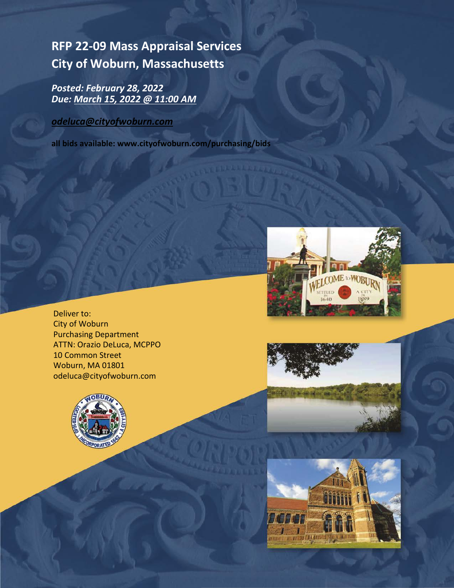# **RFP 22-09 Mass Appraisal Services City of Woburn, Massachusetts**

*Posted: February 28, 2022 Due: March 15, 2022 @ 11:00 AM*

*[odeluca@cityofwoburn.com](mailto:odeluca@cityofwoburn.com)*

**all bids available: www.cityofwoburn.com/purchasing/bids**



Deliver to: City of Woburn Purchasing Department ATTN: Orazio DeLuca, MCPPO 10 Common Street Woburn, MA 01801 odeluca@cityofwoburn.com





**TATE LIME**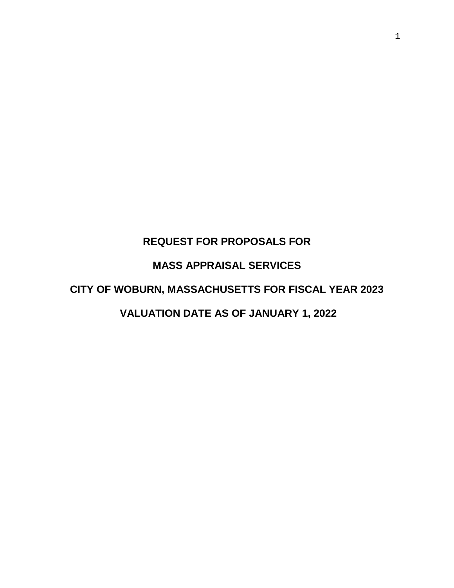# **REQUEST FOR PROPOSALS FOR**

# **MASS APPRAISAL SERVICES**

# **CITY OF WOBURN, MASSACHUSETTS FOR FISCAL YEAR 2023**

# **VALUATION DATE AS OF JANUARY 1, 2022**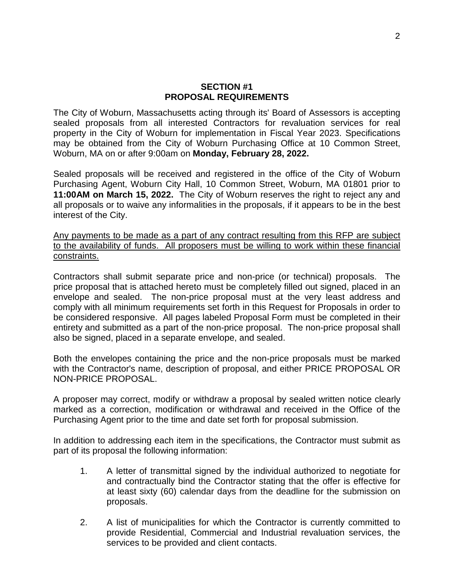#### **SECTION #1 PROPOSAL REQUIREMENTS**

The City of Woburn, Massachusetts acting through its' Board of Assessors is accepting sealed proposals from all interested Contractors for revaluation services for real property in the City of Woburn for implementation in Fiscal Year 2023. Specifications may be obtained from the City of Woburn Purchasing Office at 10 Common Street, Woburn, MA on or after 9:00am on **Monday, February 28, 2022.**

Sealed proposals will be received and registered in the office of the City of Woburn Purchasing Agent, Woburn City Hall, 10 Common Street, Woburn, MA 01801 prior to **11:00AM on March 15, 2022.** The City of Woburn reserves the right to reject any and all proposals or to waive any informalities in the proposals, if it appears to be in the best interest of the City.

Any payments to be made as a part of any contract resulting from this RFP are subject to the availability of funds. All proposers must be willing to work within these financial constraints.

Contractors shall submit separate price and non-price (or technical) proposals. The price proposal that is attached hereto must be completely filled out signed, placed in an envelope and sealed. The non-price proposal must at the very least address and comply with all minimum requirements set forth in this Request for Proposals in order to be considered responsive. All pages labeled Proposal Form must be completed in their entirety and submitted as a part of the non-price proposal. The non-price proposal shall also be signed, placed in a separate envelope, and sealed.

Both the envelopes containing the price and the non-price proposals must be marked with the Contractor's name, description of proposal, and either PRICE PROPOSAL OR NON-PRICE PROPOSAL.

A proposer may correct, modify or withdraw a proposal by sealed written notice clearly marked as a correction, modification or withdrawal and received in the Office of the Purchasing Agent prior to the time and date set forth for proposal submission.

In addition to addressing each item in the specifications, the Contractor must submit as part of its proposal the following information:

- 1. A letter of transmittal signed by the individual authorized to negotiate for and contractually bind the Contractor stating that the offer is effective for at least sixty (60) calendar days from the deadline for the submission on proposals.
- 2. A list of municipalities for which the Contractor is currently committed to provide Residential, Commercial and Industrial revaluation services, the services to be provided and client contacts.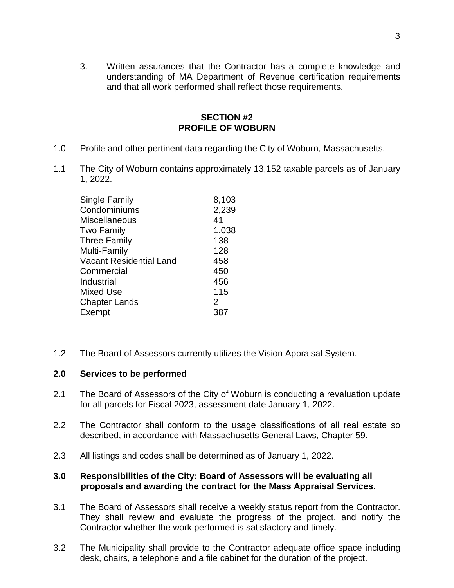3. Written assurances that the Contractor has a complete knowledge and understanding of MA Department of Revenue certification requirements and that all work performed shall reflect those requirements.

### **SECTION #2 PROFILE OF WOBURN**

- 1.0 Profile and other pertinent data regarding the City of Woburn, Massachusetts.
- 1.1 The City of Woburn contains approximately 13,152 taxable parcels as of January 1, 2022.

| Single Family           | 8,103 |
|-------------------------|-------|
| Condominiums            | 2,239 |
| Miscellaneous           | 41    |
| Two Family              | 1,038 |
| Three Family            | 138   |
| Multi-Family            | 128   |
| Vacant Residential Land | 458   |
| Commercial              | 450   |
| Industrial              | 456   |
| Mixed Use               | 115   |
| <b>Chapter Lands</b>    | 2     |
| Exempt                  | 387   |
|                         |       |

1.2 The Board of Assessors currently utilizes the Vision Appraisal System.

#### **2.0 Services to be performed**

- 2.1 The Board of Assessors of the City of Woburn is conducting a revaluation update for all parcels for Fiscal 2023, assessment date January 1, 2022.
- 2.2 The Contractor shall conform to the usage classifications of all real estate so described, in accordance with Massachusetts General Laws, Chapter 59.
- 2.3 All listings and codes shall be determined as of January 1, 2022.

# **3.0 Responsibilities of the City: Board of Assessors will be evaluating all proposals and awarding the contract for the Mass Appraisal Services.**

- 3.1 The Board of Assessors shall receive a weekly status report from the Contractor. They shall review and evaluate the progress of the project, and notify the Contractor whether the work performed is satisfactory and timely.
- 3.2 The Municipality shall provide to the Contractor adequate office space including desk, chairs, a telephone and a file cabinet for the duration of the project.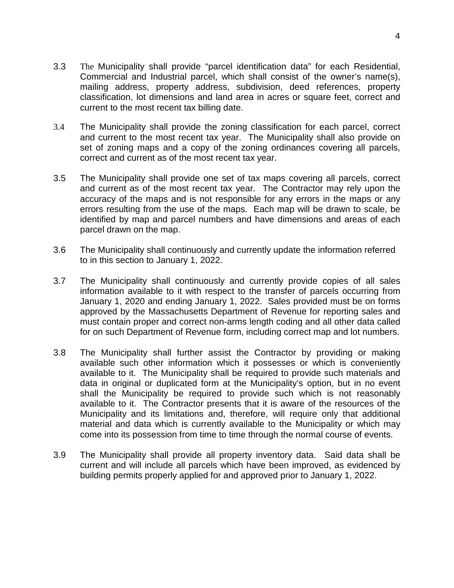- 3.3 The Municipality shall provide "parcel identification data" for each Residential, Commercial and Industrial parcel, which shall consist of the owner's name(s), mailing address, property address, subdivision, deed references, property classification, lot dimensions and land area in acres or square feet, correct and current to the most recent tax billing date.
- 3.4 The Municipality shall provide the zoning classification for each parcel, correct and current to the most recent tax year. The Municipality shall also provide on set of zoning maps and a copy of the zoning ordinances covering all parcels, correct and current as of the most recent tax year.
- 3.5 The Municipality shall provide one set of tax maps covering all parcels, correct and current as of the most recent tax year. The Contractor may rely upon the accuracy of the maps and is not responsible for any errors in the maps or any errors resulting from the use of the maps. Each map will be drawn to scale, be identified by map and parcel numbers and have dimensions and areas of each parcel drawn on the map.
- 3.6 The Municipality shall continuously and currently update the information referred to in this section to January 1, 2022.
- 3.7 The Municipality shall continuously and currently provide copies of all sales information available to it with respect to the transfer of parcels occurring from January 1, 2020 and ending January 1, 2022. Sales provided must be on forms approved by the Massachusetts Department of Revenue for reporting sales and must contain proper and correct non-arms length coding and all other data called for on such Department of Revenue form, including correct map and lot numbers.
- 3.8 The Municipality shall further assist the Contractor by providing or making available such other information which it possesses or which is conveniently available to it. The Municipality shall be required to provide such materials and data in original or duplicated form at the Municipality's option, but in no event shall the Municipality be required to provide such which is not reasonably available to it. The Contractor presents that it is aware of the resources of the Municipality and its limitations and, therefore, will require only that additional material and data which is currently available to the Municipality or which may come into its possession from time to time through the normal course of events.
- 3.9 The Municipality shall provide all property inventory data. Said data shall be current and will include all parcels which have been improved, as evidenced by building permits properly applied for and approved prior to January 1, 2022.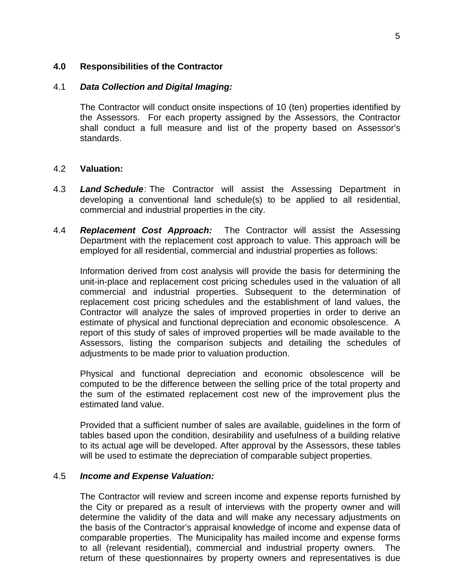#### **4.0 Responsibilities of the Contractor**

## 4.1 *Data Collection and Digital Imaging:*

The Contractor will conduct onsite inspections of 10 (ten) properties identified by the Assessors. For each property assigned by the Assessors, the Contractor shall conduct a full measure and list of the property based on Assessor's standards.

## 4.2 **Valuation:**

- 4.3 *Land Schedule*: The Contractor will assist the Assessing Department in developing a conventional land schedule(s) to be applied to all residential, commercial and industrial properties in the city.
- 4.4 *Replacement Cost Approach:* The Contractor will assist the Assessing Department with the replacement cost approach to value. This approach will be employed for all residential, commercial and industrial properties as follows:

Information derived from cost analysis will provide the basis for determining the unit-in-place and replacement cost pricing schedules used in the valuation of all commercial and industrial properties. Subsequent to the determination of replacement cost pricing schedules and the establishment of land values, the Contractor will analyze the sales of improved properties in order to derive an estimate of physical and functional depreciation and economic obsolescence. A report of this study of sales of improved properties will be made available to the Assessors, listing the comparison subjects and detailing the schedules of adjustments to be made prior to valuation production.

Physical and functional depreciation and economic obsolescence will be computed to be the difference between the selling price of the total property and the sum of the estimated replacement cost new of the improvement plus the estimated land value.

Provided that a sufficient number of sales are available, guidelines in the form of tables based upon the condition, desirability and usefulness of a building relative to its actual age will be developed. After approval by the Assessors, these tables will be used to estimate the depreciation of comparable subject properties.

#### 4.5 *Income and Expense Valuation:*

The Contractor will review and screen income and expense reports furnished by the City or prepared as a result of interviews with the property owner and will determine the validity of the data and will make any necessary adjustments on the basis of the Contractor's appraisal knowledge of income and expense data of comparable properties. The Municipality has mailed income and expense forms to all (relevant residential), commercial and industrial property owners. The return of these questionnaires by property owners and representatives is due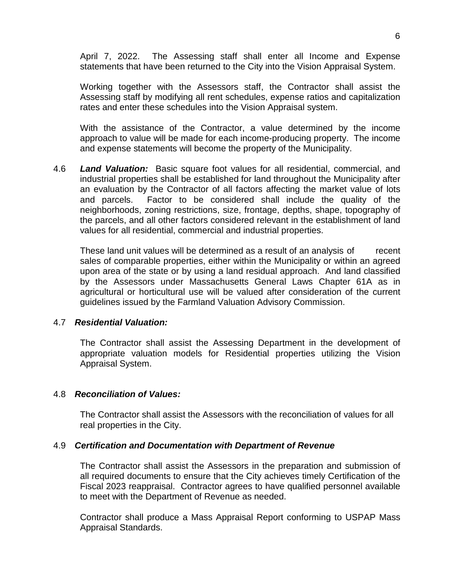April 7, 2022. The Assessing staff shall enter all Income and Expense statements that have been returned to the City into the Vision Appraisal System.

Working together with the Assessors staff, the Contractor shall assist the Assessing staff by modifying all rent schedules, expense ratios and capitalization rates and enter these schedules into the Vision Appraisal system.

With the assistance of the Contractor, a value determined by the income approach to value will be made for each income-producing property. The income and expense statements will become the property of the Municipality.

4.6 *Land Valuation:*Basic square foot values for all residential, commercial, and industrial properties shall be established for land throughout the Municipality after an evaluation by the Contractor of all factors affecting the market value of lots and parcels. Factor to be considered shall include the quality of the neighborhoods, zoning restrictions, size, frontage, depths, shape, topography of the parcels, and all other factors considered relevant in the establishment of land values for all residential, commercial and industrial properties.

These land unit values will be determined as a result of an analysis of recent sales of comparable properties, either within the Municipality or within an agreed upon area of the state or by using a land residual approach. And land classified by the Assessors under Massachusetts General Laws Chapter 61A as in agricultural or horticultural use will be valued after consideration of the current guidelines issued by the Farmland Valuation Advisory Commission.

#### 4.7 *Residential Valuation:*

The Contractor shall assist the Assessing Department in the development of appropriate valuation models for Residential properties utilizing the Vision Appraisal System.

#### 4.8 *Reconciliation of Values:*

The Contractor shall assist the Assessors with the reconciliation of values for all real properties in the City.

#### 4.9 *Certification and Documentation with Department of Revenue*

The Contractor shall assist the Assessors in the preparation and submission of all required documents to ensure that the City achieves timely Certification of the Fiscal 2023 reappraisal. Contractor agrees to have qualified personnel available to meet with the Department of Revenue as needed.

Contractor shall produce a Mass Appraisal Report conforming to USPAP Mass Appraisal Standards.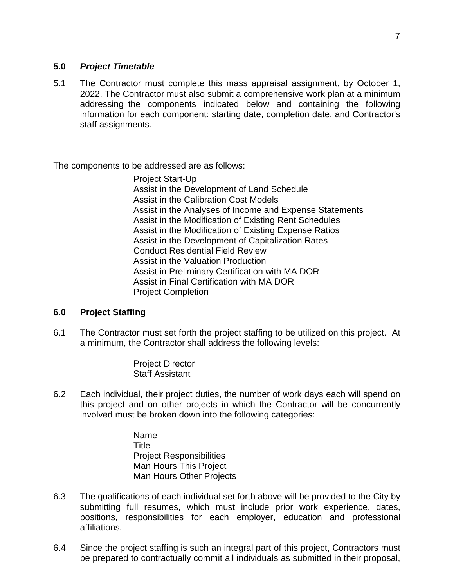## **5.0** *Project Timetable*

5.1 The Contractor must complete this mass appraisal assignment, by October 1, 2022. The Contractor must also submit a comprehensive work plan at a minimum addressing the components indicated below and containing the following information for each component: starting date, completion date, and Contractor's staff assignments.

The components to be addressed are as follows:

Project Start-Up Assist in the Development of Land Schedule Assist in the Calibration Cost Models Assist in the Analyses of Income and Expense Statements Assist in the Modification of Existing Rent Schedules Assist in the Modification of Existing Expense Ratios Assist in the Development of Capitalization Rates Conduct Residential Field Review Assist in the Valuation Production Assist in Preliminary Certification with MA DOR Assist in Final Certification with MA DOR Project Completion

# **6.0 Project Staffing**

6.1 The Contractor must set forth the project staffing to be utilized on this project. At a minimum, the Contractor shall address the following levels:

> Project Director Staff Assistant

6.2 Each individual, their project duties, the number of work days each will spend on this project and on other projects in which the Contractor will be concurrently involved must be broken down into the following categories:

> Name Title Project Responsibilities Man Hours This Project Man Hours Other Projects

- 6.3 The qualifications of each individual set forth above will be provided to the City by submitting full resumes, which must include prior work experience, dates, positions, responsibilities for each employer, education and professional affiliations.
- 6.4 Since the project staffing is such an integral part of this project, Contractors must be prepared to contractually commit all individuals as submitted in their proposal,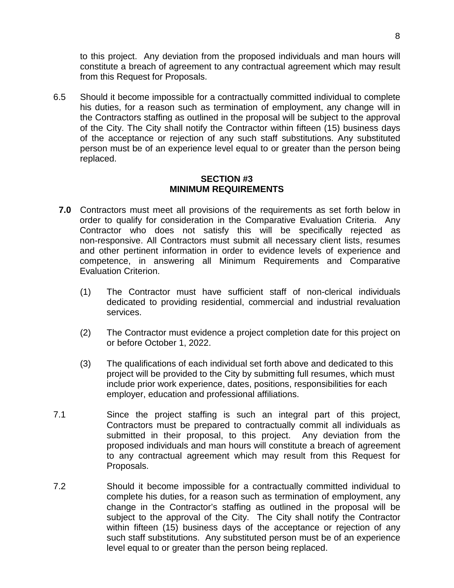to this project. Any deviation from the proposed individuals and man hours will constitute a breach of agreement to any contractual agreement which may result from this Request for Proposals.

6.5 Should it become impossible for a contractually committed individual to complete his duties, for a reason such as termination of employment, any change will in the Contractors staffing as outlined in the proposal will be subject to the approval of the City. The City shall notify the Contractor within fifteen (15) business days of the acceptance or rejection of any such staff substitutions. Any substituted person must be of an experience level equal to or greater than the person being replaced.

#### **SECTION #3 MINIMUM REQUIREMENTS**

- **7.0** Contractors must meet all provisions of the requirements as set forth below in order to qualify for consideration in the Comparative Evaluation Criteria. Any Contractor who does not satisfy this will be specifically rejected as non-responsive. All Contractors must submit all necessary client lists, resumes and other pertinent information in order to evidence levels of experience and competence, in answering all Minimum Requirements and Comparative Evaluation Criterion.
	- (1) The Contractor must have sufficient staff of non-clerical individuals dedicated to providing residential, commercial and industrial revaluation services.
	- (2) The Contractor must evidence a project completion date for this project on or before October 1, 2022.
	- (3) The qualifications of each individual set forth above and dedicated to this project will be provided to the City by submitting full resumes, which must include prior work experience, dates, positions, responsibilities for each employer, education and professional affiliations.
- 7.1 Since the project staffing is such an integral part of this project, Contractors must be prepared to contractually commit all individuals as submitted in their proposal, to this project. Any deviation from the proposed individuals and man hours will constitute a breach of agreement to any contractual agreement which may result from this Request for Proposals.
- 7.2 Should it become impossible for a contractually committed individual to complete his duties, for a reason such as termination of employment, any change in the Contractor's staffing as outlined in the proposal will be subject to the approval of the City. The City shall notify the Contractor within fifteen (15) business days of the acceptance or rejection of any such staff substitutions. Any substituted person must be of an experience level equal to or greater than the person being replaced.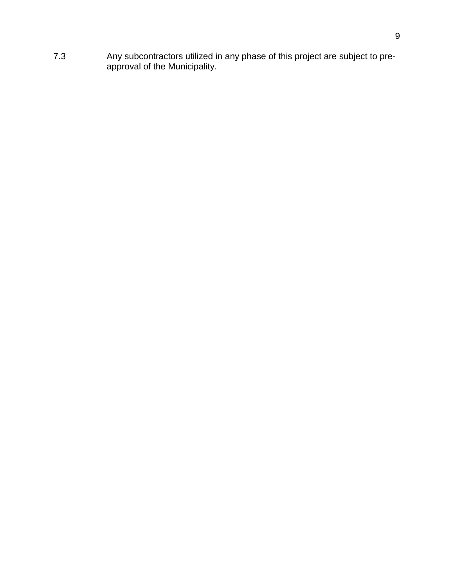7.3 Any subcontractors utilized in any phase of this project are subject to preapproval of the Municipality.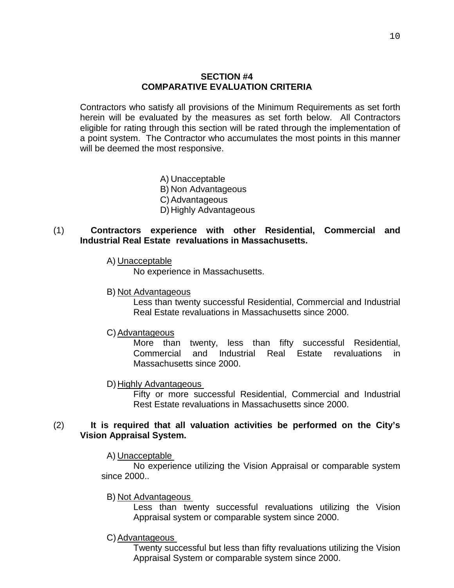# **SECTION #4 COMPARATIVE EVALUATION CRITERIA**

Contractors who satisfy all provisions of the Minimum Requirements as set forth herein will be evaluated by the measures as set forth below. All Contractors eligible for rating through this section will be rated through the implementation of a point system. The Contractor who accumulates the most points in this manner will be deemed the most responsive.

> A) Unacceptable B) Non Advantageous C) Advantageous D) Highly Advantageous

## (1) **Contractors experience with other Residential, Commercial and Industrial Real Estate revaluations in Massachusetts.**

A) Unacceptable

No experience in Massachusetts.

B) Not Advantageous

Less than twenty successful Residential, Commercial and Industrial Real Estate revaluations in Massachusetts since 2000.

C) Advantageous

More than twenty, less than fifty successful Residential, Commercial and Industrial Real Estate revaluations in Massachusetts since 2000.

D) Highly Advantageous

Fifty or more successful Residential, Commercial and Industrial Rest Estate revaluations in Massachusetts since 2000.

## (2) **It is required that all valuation activities be performed on the City's Vision Appraisal System.**

A) Unacceptable

No experience utilizing the Vision Appraisal or comparable system since 2000..

#### B) Not Advantageous

Less than twenty successful revaluations utilizing the Vision Appraisal system or comparable system since 2000.

C) Advantageous

Twenty successful but less than fifty revaluations utilizing the Vision Appraisal System or comparable system since 2000.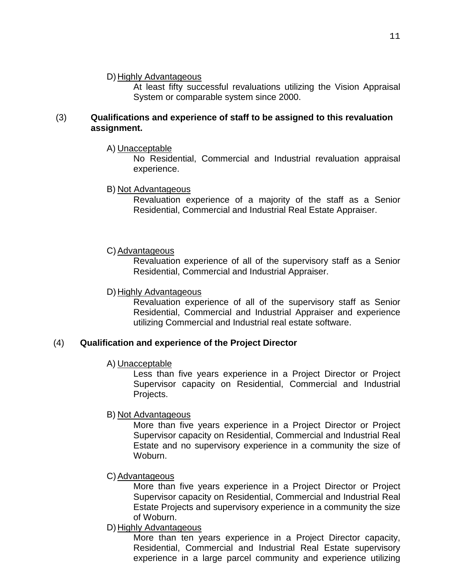D) Highly Advantageous

At least fifty successful revaluations utilizing the Vision Appraisal System or comparable system since 2000.

# (3) **Qualifications and experience of staff to be assigned to this revaluation assignment.**

A) Unacceptable

No Residential, Commercial and Industrial revaluation appraisal experience.

B) Not Advantageous

Revaluation experience of a majority of the staff as a Senior Residential, Commercial and Industrial Real Estate Appraiser.

C) Advantageous

Revaluation experience of all of the supervisory staff as a Senior Residential, Commercial and Industrial Appraiser.

# D) Highly Advantageous

Revaluation experience of all of the supervisory staff as Senior Residential, Commercial and Industrial Appraiser and experience utilizing Commercial and Industrial real estate software.

# (4) **Qualification and experience of the Project Director**

A) Unacceptable

Less than five years experience in a Project Director or Project Supervisor capacity on Residential, Commercial and Industrial Projects.

B) Not Advantageous

More than five years experience in a Project Director or Project Supervisor capacity on Residential, Commercial and Industrial Real Estate and no supervisory experience in a community the size of Woburn.

C) Advantageous

More than five years experience in a Project Director or Project Supervisor capacity on Residential, Commercial and Industrial Real Estate Projects and supervisory experience in a community the size of Woburn.

D) Highly Advantageous

More than ten years experience in a Project Director capacity, Residential, Commercial and Industrial Real Estate supervisory experience in a large parcel community and experience utilizing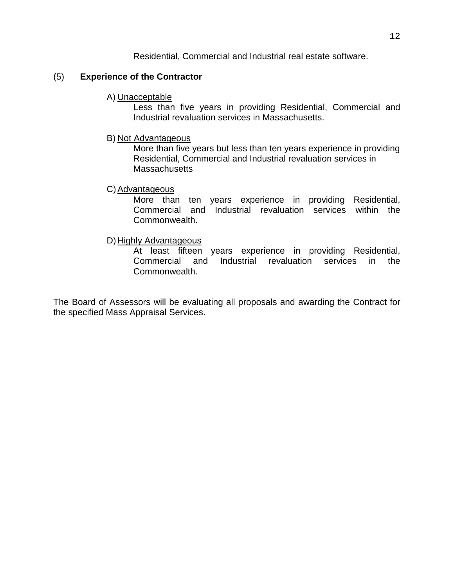Residential, Commercial and Industrial real estate software.

# (5) **Experience of the Contractor**

A) Unacceptable

Less than five years in providing Residential, Commercial and Industrial revaluation services in Massachusetts.

B) Not Advantageous

More than five years but less than ten years experience in providing Residential, Commercial and Industrial revaluation services in **Massachusetts** 

C) Advantageous

More than ten years experience in providing Residential, Commercial and Industrial revaluation services within the Commonwealth.

#### D) Highly Advantageous

At least fifteen years experience in providing Residential,<br>Commercial and Industrial revaluation services in the and Industrial revaluation services in the Commonwealth.

The Board of Assessors will be evaluating all proposals and awarding the Contract for the specified Mass Appraisal Services.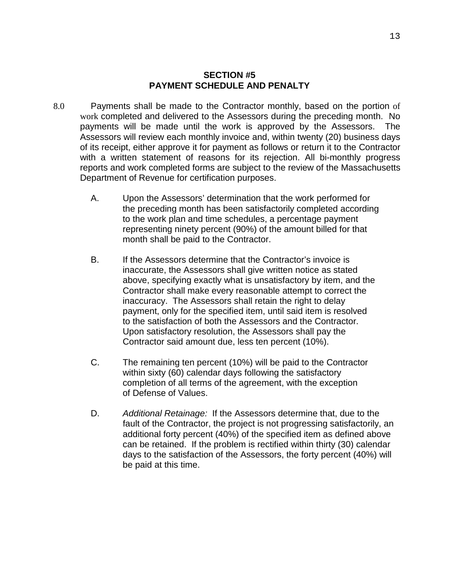### **SECTION #5 PAYMENT SCHEDULE AND PENALTY**

- 8.0 Payments shall be made to the Contractor monthly, based on the portion of work completed and delivered to the Assessors during the preceding month. No payments will be made until the work is approved by the Assessors. The Assessors will review each monthly invoice and, within twenty (20) business days of its receipt, either approve it for payment as follows or return it to the Contractor with a written statement of reasons for its rejection. All bi-monthly progress reports and work completed forms are subject to the review of the Massachusetts Department of Revenue for certification purposes.
	- A. Upon the Assessors' determination that the work performed for the preceding month has been satisfactorily completed according to the work plan and time schedules, a percentage payment representing ninety percent (90%) of the amount billed for that month shall be paid to the Contractor.
	- B. If the Assessors determine that the Contractor's invoice is inaccurate, the Assessors shall give written notice as stated above, specifying exactly what is unsatisfactory by item, and the Contractor shall make every reasonable attempt to correct the inaccuracy. The Assessors shall retain the right to delay payment, only for the specified item, until said item is resolved to the satisfaction of both the Assessors and the Contractor. Upon satisfactory resolution, the Assessors shall pay the Contractor said amount due, less ten percent (10%).
	- C. The remaining ten percent (10%) will be paid to the Contractor within sixty (60) calendar days following the satisfactory completion of all terms of the agreement, with the exception of Defense of Values.
	- D. *Additional Retainage:* If the Assessors determine that, due to the fault of the Contractor, the project is not progressing satisfactorily, an additional forty percent (40%) of the specified item as defined above can be retained. If the problem is rectified within thirty (30) calendar days to the satisfaction of the Assessors, the forty percent (40%) will be paid at this time.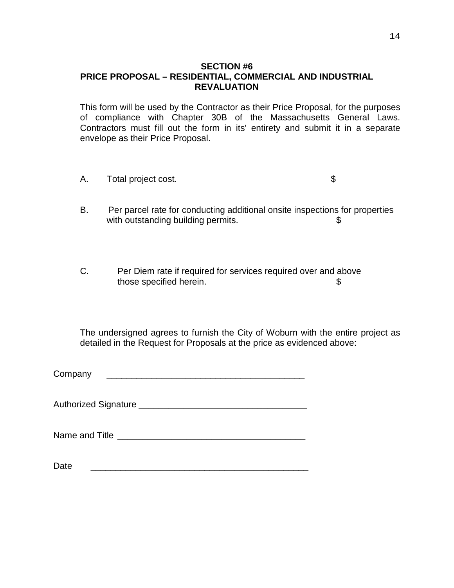# **SECTION #6 PRICE PROPOSAL – RESIDENTIAL, COMMERCIAL AND INDUSTRIAL REVALUATION**

This form will be used by the Contractor as their Price Proposal, for the purposes of compliance with Chapter 30B of the Massachusetts General Laws. Contractors must fill out the form in its' entirety and submit it in a separate envelope as their Price Proposal.

- A. Total project cost.
- B. Per parcel rate for conducting additional onsite inspections for properties with outstanding building permits.  $\$\$
- C. Per Diem rate if required for services required over and above those specified herein.  $\qquad \qquad$

The undersigned agrees to furnish the City of Woburn with the entire project as detailed in the Request for Proposals at the price as evidenced above:

Company \_\_\_\_\_\_\_\_\_\_\_\_\_\_\_\_\_\_\_\_\_\_\_\_\_\_\_\_\_\_\_\_\_\_\_\_\_\_\_\_

Authorized Signature **Authorized** Signature

Name and Title \_\_\_\_\_\_\_\_\_\_\_\_\_\_\_\_\_\_\_\_\_\_\_\_\_\_\_\_\_\_\_\_\_\_\_\_\_\_

 $Date$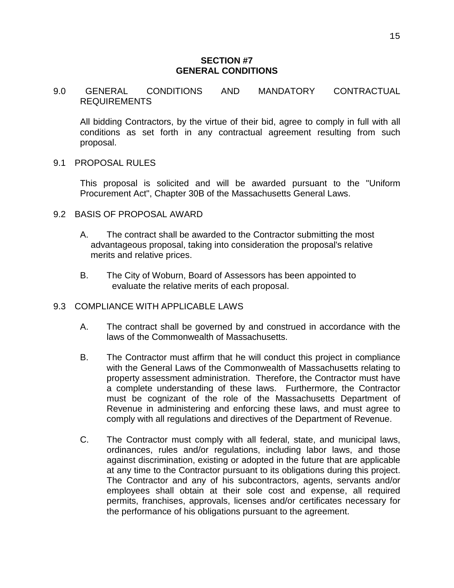#### **SECTION #7 GENERAL CONDITIONS**

# 9.0 GENERAL CONDITIONS AND MANDATORY CONTRACTUAL REQUIREMENTS

All bidding Contractors, by the virtue of their bid, agree to comply in full with all conditions as set forth in any contractual agreement resulting from such proposal.

#### 9.1 PROPOSAL RULES

This proposal is solicited and will be awarded pursuant to the "Uniform Procurement Act", Chapter 30B of the Massachusetts General Laws.

#### 9.2 BASIS OF PROPOSAL AWARD

- A. The contract shall be awarded to the Contractor submitting the most advantageous proposal, taking into consideration the proposal's relative merits and relative prices.
- B. The City of Woburn, Board of Assessors has been appointed to evaluate the relative merits of each proposal.

#### 9.3 COMPLIANCE WITH APPLICABLE LAWS

- A. The contract shall be governed by and construed in accordance with the laws of the Commonwealth of Massachusetts.
- B. The Contractor must affirm that he will conduct this project in compliance with the General Laws of the Commonwealth of Massachusetts relating to property assessment administration. Therefore, the Contractor must have a complete understanding of these laws. Furthermore, the Contractor must be cognizant of the role of the Massachusetts Department of Revenue in administering and enforcing these laws, and must agree to comply with all regulations and directives of the Department of Revenue.
- C. The Contractor must comply with all federal, state, and municipal laws, ordinances, rules and/or regulations, including labor laws, and those against discrimination, existing or adopted in the future that are applicable at any time to the Contractor pursuant to its obligations during this project. The Contractor and any of his subcontractors, agents, servants and/or employees shall obtain at their sole cost and expense, all required permits, franchises, approvals, licenses and/or certificates necessary for the performance of his obligations pursuant to the agreement.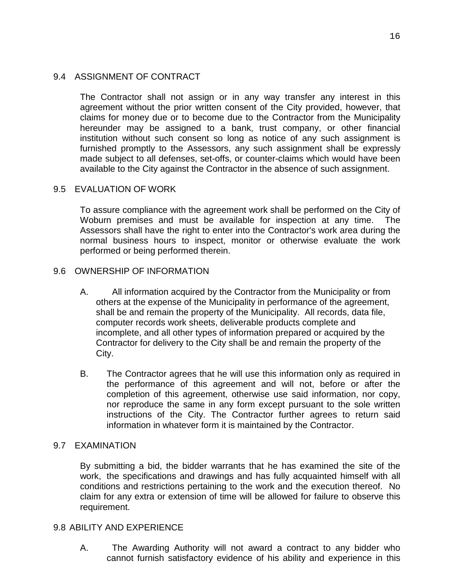# 9.4 ASSIGNMENT OF CONTRACT

The Contractor shall not assign or in any way transfer any interest in this agreement without the prior written consent of the City provided, however, that claims for money due or to become due to the Contractor from the Municipality hereunder may be assigned to a bank, trust company, or other financial institution without such consent so long as notice of any such assignment is furnished promptly to the Assessors, any such assignment shall be expressly made subject to all defenses, set-offs, or counter-claims which would have been available to the City against the Contractor in the absence of such assignment.

# 9.5 EVALUATION OF WORK

To assure compliance with the agreement work shall be performed on the City of Woburn premises and must be available for inspection at any time. The Assessors shall have the right to enter into the Contractor's work area during the normal business hours to inspect, monitor or otherwise evaluate the work performed or being performed therein.

## 9.6 OWNERSHIP OF INFORMATION

- A. All information acquired by the Contractor from the Municipality or from others at the expense of the Municipality in performance of the agreement, shall be and remain the property of the Municipality. All records, data file, computer records work sheets, deliverable products complete and incomplete, and all other types of information prepared or acquired by the Contractor for delivery to the City shall be and remain the property of the City.
- B. The Contractor agrees that he will use this information only as required in the performance of this agreement and will not, before or after the completion of this agreement, otherwise use said information, nor copy, nor reproduce the same in any form except pursuant to the sole written instructions of the City. The Contractor further agrees to return said information in whatever form it is maintained by the Contractor.

# 9.7 EXAMINATION

By submitting a bid, the bidder warrants that he has examined the site of the work, the specifications and drawings and has fully acquainted himself with all conditions and restrictions pertaining to the work and the execution thereof. No claim for any extra or extension of time will be allowed for failure to observe this requirement.

#### 9.8 ABILITY AND EXPERIENCE

A. The Awarding Authority will not award a contract to any bidder who cannot furnish satisfactory evidence of his ability and experience in this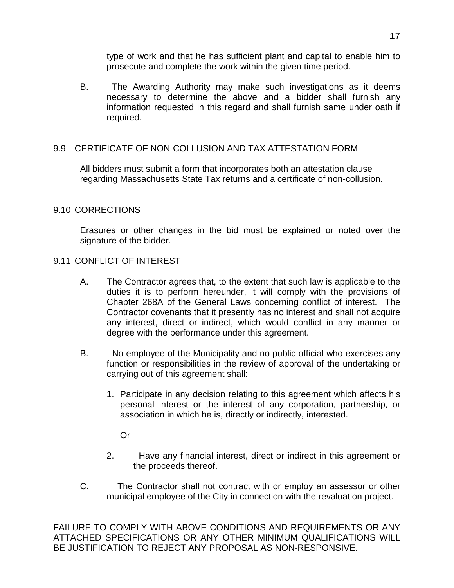type of work and that he has sufficient plant and capital to enable him to prosecute and complete the work within the given time period.

B. The Awarding Authority may make such investigations as it deems necessary to determine the above and a bidder shall furnish any information requested in this regard and shall furnish same under oath if required.

# 9.9 CERTIFICATE OF NON-COLLUSION AND TAX ATTESTATION FORM

All bidders must submit a form that incorporates both an attestation clause regarding Massachusetts State Tax returns and a certificate of non-collusion.

# 9.10 CORRECTIONS

Erasures or other changes in the bid must be explained or noted over the signature of the bidder.

#### 9.11 CONFLICT OF INTEREST

- A. The Contractor agrees that, to the extent that such law is applicable to the duties it is to perform hereunder, it will comply with the provisions of Chapter 268A of the General Laws concerning conflict of interest. The Contractor covenants that it presently has no interest and shall not acquire any interest, direct or indirect, which would conflict in any manner or degree with the performance under this agreement.
- B. No employee of the Municipality and no public official who exercises any function or responsibilities in the review of approval of the undertaking or carrying out of this agreement shall:
	- 1. Participate in any decision relating to this agreement which affects his personal interest or the interest of any corporation, partnership, or association in which he is, directly or indirectly, interested.

Or

- 2. Have any financial interest, direct or indirect in this agreement or the proceeds thereof.
- C. The Contractor shall not contract with or employ an assessor or other municipal employee of the City in connection with the revaluation project.

FAILURE TO COMPLY WITH ABOVE CONDITIONS AND REQUIREMENTS OR ANY ATTACHED SPECIFICATIONS OR ANY OTHER MINIMUM QUALIFICATIONS WILL BE JUSTIFICATION TO REJECT ANY PROPOSAL AS NON-RESPONSIVE.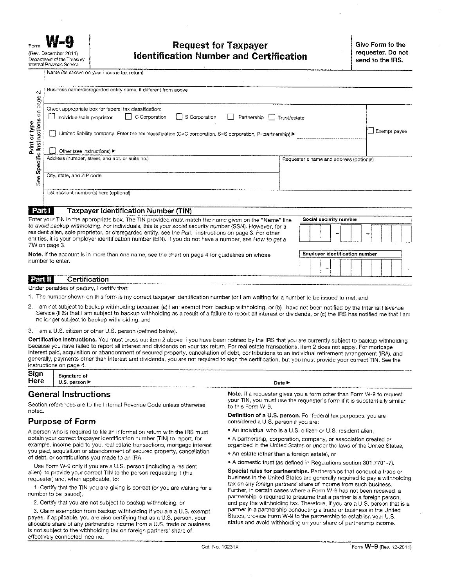Name (as shown on your income tax return)

| 0                                                                                                                              | Business name/disregarded entity name, if different from above                                                                                                                                                      |                                         |  |  |
|--------------------------------------------------------------------------------------------------------------------------------|---------------------------------------------------------------------------------------------------------------------------------------------------------------------------------------------------------------------|-----------------------------------------|--|--|
| page                                                                                                                           |                                                                                                                                                                                                                     |                                         |  |  |
| $\mathsf S$                                                                                                                    | Check appropriate box for federal tax classification:                                                                                                                                                               |                                         |  |  |
|                                                                                                                                | C Corporation<br>$\lfloor \cdot \rfloor$ S Corporation<br>Individual/sole proprietor<br>Partnership<br>Trust/estate                                                                                                 |                                         |  |  |
| Specific Instructions<br>Print or type                                                                                         | Limited liability company. Enter the tax classification (C=C corporation, S=S corporation, P=partnership) >                                                                                                         |                                         |  |  |
|                                                                                                                                | Other (see instructions) ▶                                                                                                                                                                                          |                                         |  |  |
|                                                                                                                                | Address (number, street, and apt, or suite no.)                                                                                                                                                                     | Requester's name and address (optional) |  |  |
| See                                                                                                                            | City, state, and ZIP code                                                                                                                                                                                           |                                         |  |  |
|                                                                                                                                | List account number(s) here (optional)                                                                                                                                                                              |                                         |  |  |
| Part I                                                                                                                         | <b>Taxpayer Identification Number (TIN)</b>                                                                                                                                                                         |                                         |  |  |
| Enter your TIN in the appropriate box. The TIN provided must match the name given on the "Name" line<br>Social security number |                                                                                                                                                                                                                     |                                         |  |  |
|                                                                                                                                | to avoid backup withholding. For individuals, this is your social security number (SSN). However, for a<br>resident alien, sole proprietor, or disregarded entity, see the Part I instructions on page 3. For other |                                         |  |  |
|                                                                                                                                | entities, it is your employer identification number (EIN). If you do not have a number, see How to get a<br>TIN on page 3.                                                                                          |                                         |  |  |
| <b>Note.</b> If the account is in more than one name, see the chart on page 4 for guidelines on whose                          |                                                                                                                                                                                                                     | Employer identification number          |  |  |
|                                                                                                                                | number to enter.                                                                                                                                                                                                    |                                         |  |  |
| Part II                                                                                                                        | Certification                                                                                                                                                                                                       |                                         |  |  |

Under penalties of perjury, I certify that:

- 1. The number shown on this form is my correct taxpayer identification number (or I am waiting for a number to be issued to me), and
- 2. I am not subject to backup withholding because: (a) I am exempt from backup withholding, or (b) I have not been notified by the Internal Revenue Service (IRS) that I am subject to backup withholding as a result of a failure to report all interest or dividends, or (c) the IRS has notified me that I am no longer subject to backup withholding, and

3. I am a U.S. citizen or other U.S. person (defined below).

Certification instructions. You must cross out item 2 above if you have been notified by the IRS that you are currently subject to backup withholding because you have failed to report all interest and dividends on your tax return. For real estate transactions, item 2 does not apply. For mortgage interest paid, acquisition or abandonment of secured property, cancellation of debt, contributions to an individual retirement arrangement (IRA), and generally, payments other than interest and dividends, you are not required to sign the certification, but you must provide your correct TIN. See the instructions on page 4.

| Sign | Signature of                       | ----------                                                                          |
|------|------------------------------------|-------------------------------------------------------------------------------------|
| Here | <b>START</b><br>. person ►<br>ບ.ວ. | Date -<br>_______<br>.<br>-----------<br>.<br>------------------------------------- |

#### **General Instructions**

Section references are to the Internal Revenue Code unless otherwise noted.

#### **Purpose of Form**

A person who is required to file an information return with the IRS must obtain your correct taxpayer identification number (TIN) to report, for example, income paid to you, real estate transactions, mortgage interest you paid, acquisition or abandonment of secured property, cancellation of debt, or contributions you made to an IRA.

Use Form W-9 only if you are a U.S. person (including a resident alien), to provide your correct TIN to the person requesting it (the requester) and, when applicable, to:

1. Certify that the TIN you are giving is correct (or you are waiting for a number to be issued),

2. Certify that you are not subject to backup withholding, or

3. Claim exemption from backup withholding if you are a U.S. exempt payee. If applicable, you are also certifying that as a U.S. person, your allocable share of any partnership income from a U.S. trade or business is not subject to the withholding tax on foreign partners' share of effectively connected income.

Note. If a requester gives you a form other than Form W-9 to request your TIN, you must use the requester's form if it is substantially similar to this Form W-9.

Definition of a U.S. person. For federal tax purposes, you are considered a U.S. person if you are:

- . An individual who is a U.S. citizen or U.S. resident alien,
- · A partnership, corporation, company, or association created or organized in the United States or under the laws of the United States.
- An estate (other than a foreign estate), or
- \* A domestic trust (as defined in Regulations section 301.7701-7).

Special rules for partnerships. Partnerships that conduct a trade or business in the United States are generally required to pay a withholding tax on any foreign partners' share of income from such business. Further, in certain cases where a Form W-9 has not been received, a partnership is required to presume that a partner is a foreign person. and pay the withholding tax. Therefore, if you are a U.S. person that is a partner in a partnership conducting a trade or business in the United States, provide Form W-9 to the partnership to establish your U.S. status and avoid withholding on your share of partnership income.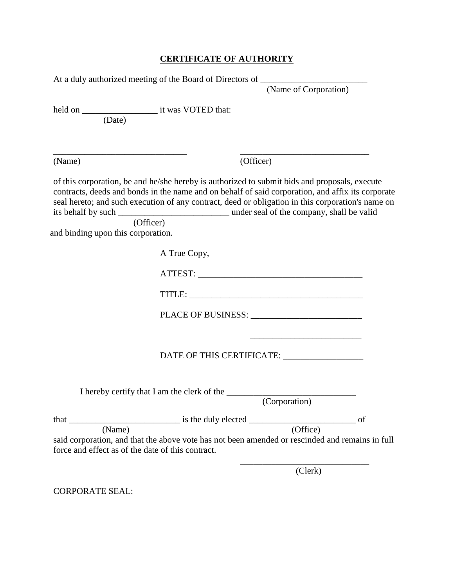# **CERTIFICATE OF AUTHORITY**

|                                                             |              | At a duly authorized meeting of the Board of Directors of (Name of Corporation)                                                                                                                                                                                                                         |  |
|-------------------------------------------------------------|--------------|---------------------------------------------------------------------------------------------------------------------------------------------------------------------------------------------------------------------------------------------------------------------------------------------------------|--|
| (Date)                                                      |              |                                                                                                                                                                                                                                                                                                         |  |
| (Name)                                                      |              | (Officer)                                                                                                                                                                                                                                                                                               |  |
| and binding upon this corporation.                          |              | of this corporation, be and he/she hereby is authorized to submit bids and proposals, execute<br>contracts, deeds and bonds in the name and on behalf of said corporation, and affix its corporate<br>seal hereto; and such execution of any contract, deed or obligation in this corporation's name on |  |
|                                                             | A True Copy, |                                                                                                                                                                                                                                                                                                         |  |
|                                                             |              |                                                                                                                                                                                                                                                                                                         |  |
|                                                             |              |                                                                                                                                                                                                                                                                                                         |  |
|                                                             |              |                                                                                                                                                                                                                                                                                                         |  |
|                                                             |              | DATE OF THIS CERTIFICATE: _________________                                                                                                                                                                                                                                                             |  |
|                                                             |              |                                                                                                                                                                                                                                                                                                         |  |
|                                                             |              | (Corporation)                                                                                                                                                                                                                                                                                           |  |
|                                                             |              |                                                                                                                                                                                                                                                                                                         |  |
| (Name)<br>force and effect as of the date of this contract. |              | $\overline{O(fice)}$<br>said corporation, and that the above vote has not been amended or rescinded and remains in full                                                                                                                                                                                 |  |
|                                                             |              | (Clerk)                                                                                                                                                                                                                                                                                                 |  |

CORPORATE SEAL: